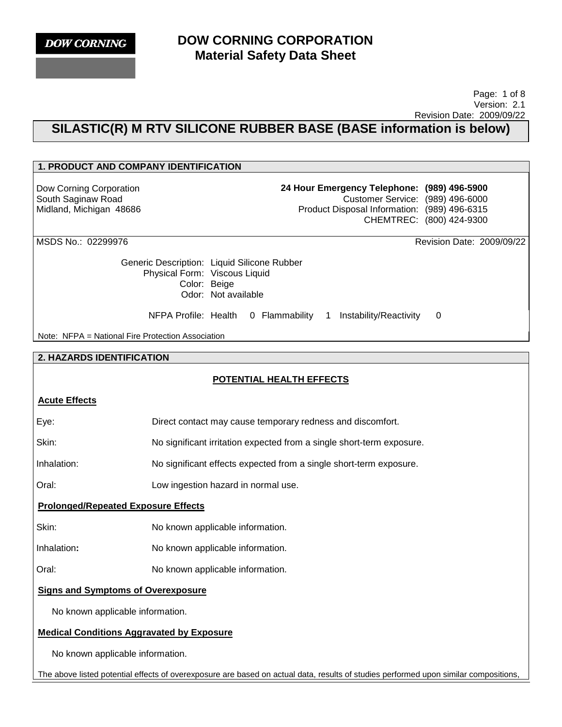**DOW CORNING** 

## **DOW CORNING CORPORATION Material Safety Data Sheet**

#### Page: 1 of 8 Version: 2.1 Revision Date: 2009/09/22

## **SILASTIC(R) M RTV SILICONE RUBBER BASE (BASE information is below)**

# **1. PRODUCT AND COMPANY IDENTIFICATION**  Dow Corning Corporation South Saginaw Road Midland, Michigan 48686 **24 Hour Emergency Telephone: (989) 496-5900** Customer Service: (989) 496-6000 Product Disposal Information: (989) 496-6315 CHEMTREC: (800) 424-9300 MSDS No.: 02299976 Revision Date: 2009/09/22 Generic Description: Liquid Silicone Rubber Physical Form: Viscous Liquid Color: Beige Odor: Not available NFPA Profile: Health 0 Flammability 1 Instability/Reactivity 0 Note: NFPA = National Fire Protection Association **2. HAZARDS IDENTIFICATION POTENTIAL HEALTH EFFECTS Acute Effects** Eye: Direct contact may cause temporary redness and discomfort. Skin: No significant irritation expected from a single short-term exposure. Inhalation: No significant effects expected from a single short-term exposure. Oral: Low ingestion hazard in normal use. **Prolonged/Repeated Exposure Effects** Skin: No known applicable information. Inhalation**:** No known applicable information. Oral: No known applicable information. **Signs and Symptoms of Overexposure**

No known applicable information.

## **Medical Conditions Aggravated by Exposure**

No known applicable information.

The above listed potential effects of overexposure are based on actual data, results of studies performed upon similar compositions,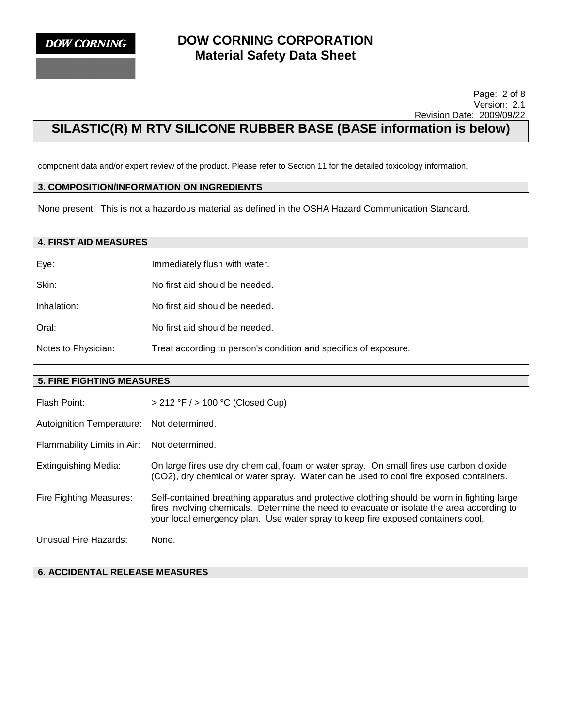#### Page: 2 of 8 Version: 2.1 Revision Date: 2009/09/22

# **SILASTIC(R) M RTV SILICONE RUBBER BASE (BASE information is below)**

component data and/or expert review of the product. Please refer to Section 11 for the detailed toxicology information.

## **3. COMPOSITION/INFORMATION ON INGREDIENTS**

None present. This is not a hazardous material as defined in the OSHA Hazard Communication Standard.

## **4. FIRST AID MEASURES**

| Eye:                | Immediately flush with water.                                    |
|---------------------|------------------------------------------------------------------|
| Skin:               | No first aid should be needed.                                   |
| Inhalation:         | No first aid should be needed.                                   |
| Oral:               | No first aid should be needed.                                   |
| Notes to Physician: | Treat according to person's condition and specifics of exposure. |

### **5. FIRE FIGHTING MEASURES**

| Flash Point:                | $> 212$ °F $/$ > 100 °C (Closed Cup)                                                                                                                                                                                                                                          |
|-----------------------------|-------------------------------------------------------------------------------------------------------------------------------------------------------------------------------------------------------------------------------------------------------------------------------|
| Autoignition Temperature:   | Not determined.                                                                                                                                                                                                                                                               |
| Flammability Limits in Air: | Not determined.                                                                                                                                                                                                                                                               |
| Extinguishing Media:        | On large fires use dry chemical, foam or water spray. On small fires use carbon dioxide<br>(CO2), dry chemical or water spray. Water can be used to cool fire exposed containers.                                                                                             |
| Fire Fighting Measures:     | Self-contained breathing apparatus and protective clothing should be worn in fighting large<br>fires involving chemicals. Determine the need to evacuate or isolate the area according to<br>your local emergency plan. Use water spray to keep fire exposed containers cool. |
| Unusual Fire Hazards:       | None.                                                                                                                                                                                                                                                                         |

**6. ACCIDENTAL RELEASE MEASURES**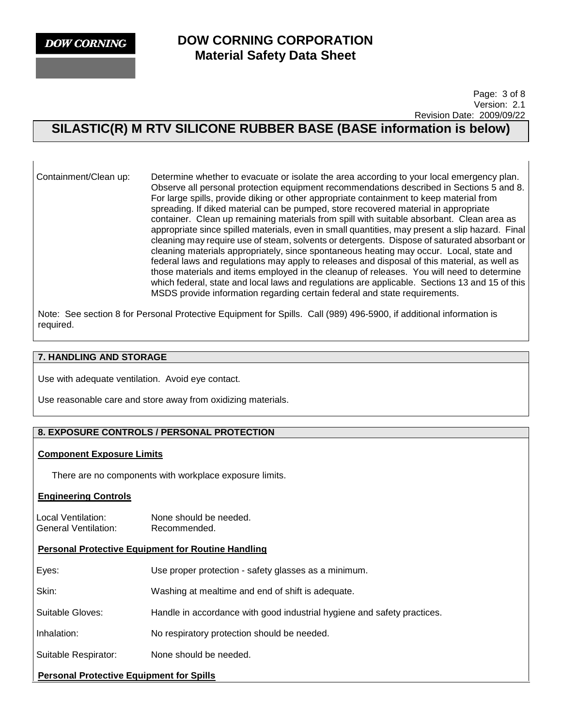**DOW CORNING** 

## **DOW CORNING CORPORATION Material Safety Data Sheet**

 Page: 3 of 8 Version: 2.1 Revision Date: 2009/09/22

# **SILASTIC(R) M RTV SILICONE RUBBER BASE (BASE information is below)**

Containment/Clean up: Determine whether to evacuate or isolate the area according to your local emergency plan. Observe all personal protection equipment recommendations described in Sections 5 and 8. For large spills, provide diking or other appropriate containment to keep material from spreading. If diked material can be pumped, store recovered material in appropriate container. Clean up remaining materials from spill with suitable absorbant. Clean area as appropriate since spilled materials, even in small quantities, may present a slip hazard. Final cleaning may require use of steam, solvents or detergents. Dispose of saturated absorbant or cleaning materials appropriately, since spontaneous heating may occur. Local, state and federal laws and regulations may apply to releases and disposal of this material, as well as those materials and items employed in the cleanup of releases. You will need to determine which federal, state and local laws and regulations are applicable. Sections 13 and 15 of this MSDS provide information regarding certain federal and state requirements.

Note: See section 8 for Personal Protective Equipment for Spills. Call (989) 496-5900, if additional information is required.

### **7. HANDLING AND STORAGE**

Use with adequate ventilation. Avoid eye contact.

Use reasonable care and store away from oxidizing materials.

## **8. EXPOSURE CONTROLS / PERSONAL PROTECTION**

#### **Component Exposure Limits**

There are no components with workplace exposure limits.

#### **Engineering Controls**

Local Ventilation: None should be needed. General Ventilation: Recommended.

#### **Personal Protective Equipment for Routine Handling**

| Suitable Respirator: | None should be needed.                                                  |  |
|----------------------|-------------------------------------------------------------------------|--|
| Inhalation:          | No respiratory protection should be needed.                             |  |
| Suitable Gloves:     | Handle in accordance with good industrial hygiene and safety practices. |  |
| Skin:                | Washing at mealtime and end of shift is adequate.                       |  |
| Eyes:                | Use proper protection - safety glasses as a minimum.                    |  |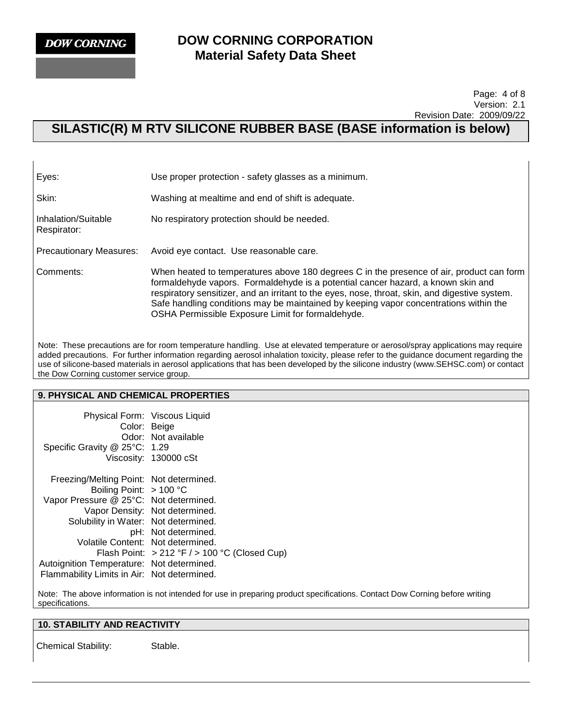**DOW CORNING** 

## **DOW CORNING CORPORATION Material Safety Data Sheet**

#### Page: 4 of 8 Version: 2.1 Revision Date: 2009/09/22

# **SILASTIC(R) M RTV SILICONE RUBBER BASE (BASE information is below)**

| Eyes:                              | Use proper protection - safety glasses as a minimum.                                                                                                                                                                                                                                                                                                                                                                         |  |  |
|------------------------------------|------------------------------------------------------------------------------------------------------------------------------------------------------------------------------------------------------------------------------------------------------------------------------------------------------------------------------------------------------------------------------------------------------------------------------|--|--|
| Skin:                              | Washing at mealtime and end of shift is adequate.                                                                                                                                                                                                                                                                                                                                                                            |  |  |
| Inhalation/Suitable<br>Respirator: | No respiratory protection should be needed.                                                                                                                                                                                                                                                                                                                                                                                  |  |  |
| <b>Precautionary Measures:</b>     | Avoid eye contact. Use reasonable care.                                                                                                                                                                                                                                                                                                                                                                                      |  |  |
| Comments:                          | When heated to temperatures above 180 degrees C in the presence of air, product can form<br>formaldehyde vapors. Formaldehyde is a potential cancer hazard, a known skin and<br>respiratory sensitizer, and an irritant to the eyes, nose, throat, skin, and digestive system.<br>Safe handling conditions may be maintained by keeping vapor concentrations within the<br>OSHA Permissible Exposure Limit for formaldehyde. |  |  |

Note: These precautions are for room temperature handling. Use at elevated temperature or aerosol/spray applications may require added precautions. For further information regarding aerosol inhalation toxicity, please refer to the guidance document regarding the use of silicone-based materials in aerosol applications that has been developed by the silicone industry (www.SEHSC.com) or contact the Dow Corning customer service group.

#### **9. PHYSICAL AND CHEMICAL PROPERTIES**

| Physical Form: Viscous Liquid<br>Color: Beige<br>Specific Gravity @ 25°C: 1.29 | Odor: Not available<br>Viscosity: 130000 cSt     |
|--------------------------------------------------------------------------------|--------------------------------------------------|
| Freezing/Melting Point: Not determined.                                        |                                                  |
| Boiling Point: $> 100 °C$                                                      |                                                  |
| Vapor Pressure @ 25°C: Not determined.                                         |                                                  |
|                                                                                | Vapor Density: Not determined.                   |
| Solubility in Water: Not determined.                                           |                                                  |
|                                                                                | pH: Not determined.                              |
| Volatile Content: Not determined.                                              |                                                  |
|                                                                                | Flash Point: $>212$ °F $/$ > 100 °C (Closed Cup) |
| Autoignition Temperature: Not determined.                                      |                                                  |
| Flammability Limits in Air: Not determined.                                    |                                                  |

Note: The above information is not intended for use in preparing product specifications. Contact Dow Corning before writing specifications.

### **10. STABILITY AND REACTIVITY**

Chemical Stability: Stable.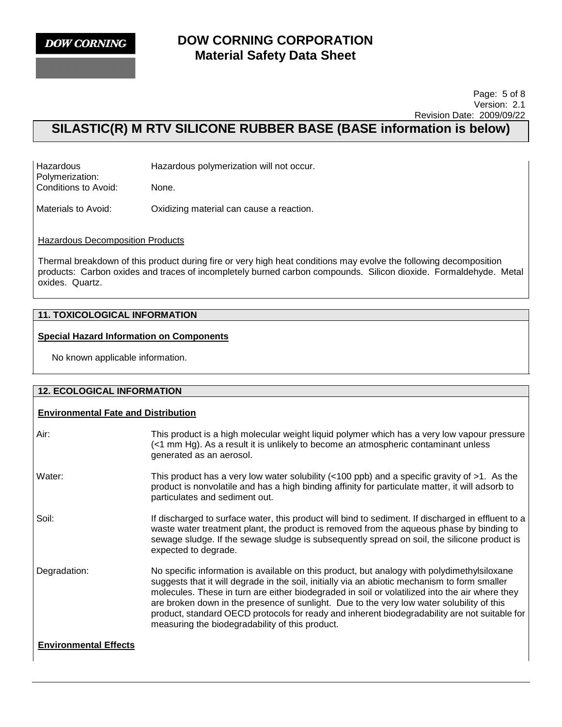

#### Page: 5 of 8 Version: 2.1 Revision Date: 2009/09/22

# **SILASTIC(R) M RTV SILICONE RUBBER BASE (BASE information is below)**

| Hazardous            | Hazardous polymerization will not occur. |
|----------------------|------------------------------------------|
| Polymerization:      |                                          |
| Conditions to Avoid: | None.                                    |

Materials to Avoid: Oxidizing material can cause a reaction.

**Hazardous Decomposition Products** 

Thermal breakdown of this product during fire or very high heat conditions may evolve the following decomposition products: Carbon oxides and traces of incompletely burned carbon compounds. Silicon dioxide. Formaldehyde. Metal oxides. Quartz.

## **11. TOXICOLOGICAL INFORMATION**

#### **Special Hazard Information on Components**

No known applicable information.

| <b>12. ECOLOGICAL INFORMATION</b>          |                                                                                                                                                                                                                                                                                                                                                                                                                                                                                                                                                 |  |  |
|--------------------------------------------|-------------------------------------------------------------------------------------------------------------------------------------------------------------------------------------------------------------------------------------------------------------------------------------------------------------------------------------------------------------------------------------------------------------------------------------------------------------------------------------------------------------------------------------------------|--|--|
| <b>Environmental Fate and Distribution</b> |                                                                                                                                                                                                                                                                                                                                                                                                                                                                                                                                                 |  |  |
| Air:                                       | This product is a high molecular weight liquid polymer which has a very low vapour pressure<br>(<1 mm Hg). As a result it is unlikely to become an atmospheric contaminant unless<br>generated as an aerosol.                                                                                                                                                                                                                                                                                                                                   |  |  |
| Water:                                     | This product has a very low water solubility ( $<100$ ppb) and a specific gravity of $>1$ . As the<br>product is nonvolatile and has a high binding affinity for particulate matter, it will adsorb to<br>particulates and sediment out.                                                                                                                                                                                                                                                                                                        |  |  |
| Soil:                                      | If discharged to surface water, this product will bind to sediment. If discharged in effluent to a<br>waste water treatment plant, the product is removed from the aqueous phase by binding to<br>sewage sludge. If the sewage sludge is subsequently spread on soil, the silicone product is<br>expected to degrade.                                                                                                                                                                                                                           |  |  |
| Degradation:                               | No specific information is available on this product, but analogy with polydimethylsiloxane<br>suggests that it will degrade in the soil, initially via an abiotic mechanism to form smaller<br>molecules. These in turn are either biodegraded in soil or volatilized into the air where they<br>are broken down in the presence of sunlight. Due to the very low water solubility of this<br>product, standard OECD protocols for ready and inherent biodegradability are not suitable for<br>measuring the biodegradability of this product. |  |  |
| <b>Environmental Effects</b>               |                                                                                                                                                                                                                                                                                                                                                                                                                                                                                                                                                 |  |  |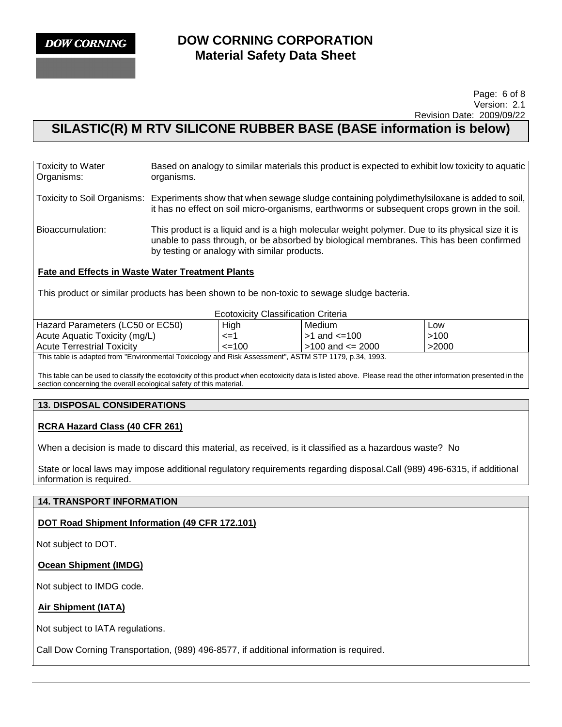

#### Page: 6 of 8 Version: 2.1 Revision Date: 2009/09/22

## **SILASTIC(R) M RTV SILICONE RUBBER BASE (BASE information is below)**

| <b>Toxicity to Water</b> | Based on analogy to similar materials this product is expected to exhibit low toxicity to aquatic |
|--------------------------|---------------------------------------------------------------------------------------------------|
| Organisms:               | organisms.                                                                                        |

Toxicity to Soil Organisms: Experiments show that when sewage sludge containing polydimethylsiloxane is added to soil, it has no effect on soil micro-organisms, earthworms or subsequent crops grown in the soil.

Bioaccumulation: This product is a liquid and is a high molecular weight polymer. Due to its physical size it is unable to pass through, or be absorbed by biological membranes. This has been confirmed by testing or analogy with similar products.

## **Fate and Effects in Waste Water Treatment Plants**

This product or similar products has been shown to be non-toxic to sewage sludge bacteria.

| <b>Ecotoxicity Classification Criteria</b>                                                              |            |                        |       |  |
|---------------------------------------------------------------------------------------------------------|------------|------------------------|-------|--|
| Hazard Parameters (LC50 or EC50)                                                                        | High       | Medium                 | Low   |  |
| Acute Aquatic Toxicity (mg/L)                                                                           | <=1        | $>1$ and $\leq 100$    | >100  |  |
| <b>Acute Terrestrial Toxicity</b>                                                                       | $\leq$ 100 | $>100$ and $\leq 2000$ | >2000 |  |
| This take is a shorted from "Factures ontal Tacisalem cand Dial, Associated", ACTM CTD 4470, a 94, 4009 |            |                        |       |  |

This table is adapted from "Environmental Toxicology and Risk Assessment", ASTM STP 1179, p.34, 1993.

This table can be used to classify the ecotoxicity of this product when ecotoxicity data is listed above. Please read the other information presented in the section concerning the overall ecological safety of this material.

## **13. DISPOSAL CONSIDERATIONS**

## **RCRA Hazard Class (40 CFR 261)**

When a decision is made to discard this material, as received, is it classified as a hazardous waste? No

State or local laws may impose additional regulatory requirements regarding disposal.Call (989) 496-6315, if additional information is required.

#### **14. TRANSPORT INFORMATION**

#### **DOT Road Shipment Information (49 CFR 172.101)**

Not subject to DOT.

## **Ocean Shipment (IMDG)**

Not subject to IMDG code.

#### **Air Shipment (IATA)**

Not subject to IATA regulations.

Call Dow Corning Transportation, (989) 496-8577, if additional information is required.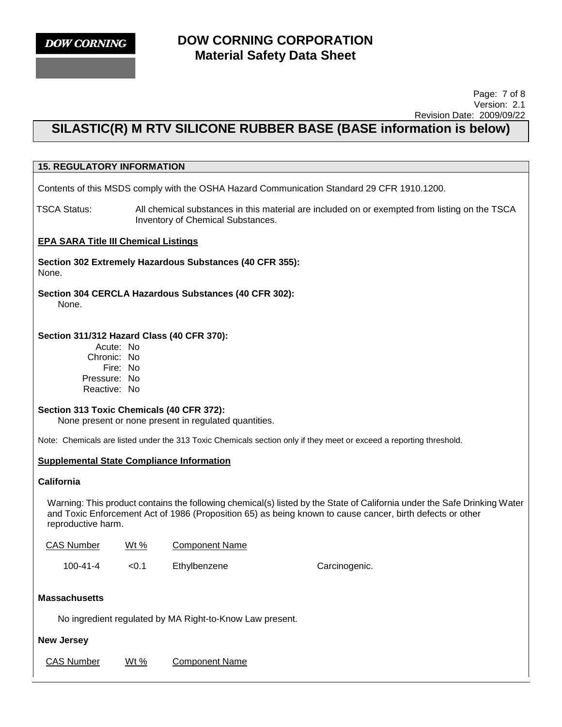#### Page: 7 of 8 Version: 2.1 Revision Date: 2009/09/22

# **SILASTIC(R) M RTV SILICONE RUBBER BASE (BASE information is below)**

## **15. REGULATORY INFORMATION**

Contents of this MSDS comply with the OSHA Hazard Communication Standard 29 CFR 1910.1200.

TSCA Status: All chemical substances in this material are included on or exempted from listing on the TSCA Inventory of Chemical Substances.

#### **EPA SARA Title III Chemical Listings**

**Section 302 Extremely Hazardous Substances (40 CFR 355):**  None.

**Section 304 CERCLA Hazardous Substances (40 CFR 302):**  None.

#### **Section 311/312 Hazard Class (40 CFR 370):**

Acute: No Chronic: No Fire: No Pressure: No Reactive: No

### **Section 313 Toxic Chemicals (40 CFR 372):**

None present or none present in regulated quantities.

Note: Chemicals are listed under the 313 Toxic Chemicals section only if they meet or exceed a reporting threshold.

#### **Supplemental State Compliance Information**

#### **California**

Warning: This product contains the following chemical(s) listed by the State of California under the Safe Drinking Water and Toxic Enforcement Act of 1986 (Proposition 65) as being known to cause cancer, birth defects or other reproductive harm.

| <b>CAS Number</b> | Wt $%$ | Component Name |               |
|-------------------|--------|----------------|---------------|
| 100-41-4          | < 0.1  | Ethylbenzene   | Carcinogenic. |

#### **Massachusetts**

No ingredient regulated by MA Right-to-Know Law present.

#### **New Jersey**

CAS Number Wt % Component Name